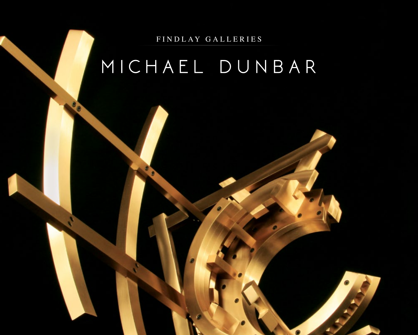FINDLAY GALLERIES

# MICHAEL DUNBAR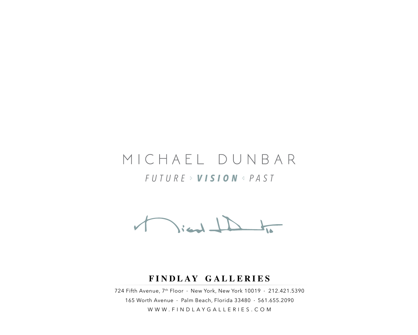# MICHAEL DUNBAR *FUTURE VISION PAST*

 $\sqrt{2}$ ient $\sqrt{2}$ 

#### **FINDLAY GALLERIES**

724 Fifth Avenue, 7th Floor • New York, New York 10019 • 212.421.5390 165 Worth Avenue • Palm Beach, Florida 33480 • 561.655.2090 WWW.FINDLAYGALLERIES.COM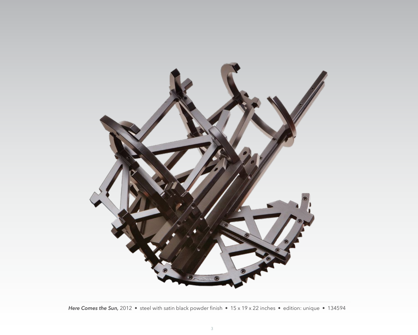

*Here Comes the Sun,* 2012 • steel with satin black powder finish • 15 x 19 x 22 inches • edition: unique • 134594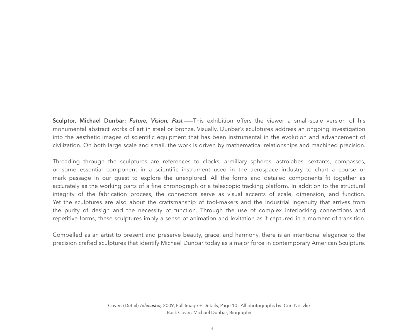**Sculptor, Michael Dunbar:** *Future, Vision, Past* This exhibition offers the viewer a small-scale version of his monumental abstract works of art in steel or bronze. Visually, Dunbar's sculptures address an ongoing investigation into the aesthetic images of scientific equipment that has been instrumental in the evolution and advancement of civilization. On both large scale and small, the work is driven by mathematical relationships and machined precision.

Threading through the sculptures are references to clocks, armillary spheres, astrolabes, sextants, compasses, or some essential component in a scientific instrument used in the aerospace industry to chart a course or mark passage in our quest to explore the unexplored. All the forms and detailed components fit together as accurately as the working parts of a fine chronograph or a telescopic tracking platform. In addition to the structural integrity of the fabrication process, the connectors serve as visual accents of scale, dimension, and function. Yet the sculptures are also about the craftsmanship of tool-makers and the industrial ingenuity that arrives from the purity of design and the necessity of function. Through the use of complex interlocking connections and repetitive forms, these sculptures imply a sense of animation and levitation as if captured in a moment of transition.

Compelled as an artist to present and preserve beauty, grace, and harmony, there is an intentional elegance to the precision crafted sculptures that identify Michael Dunbar today as a major force in contemporary American Sculpture.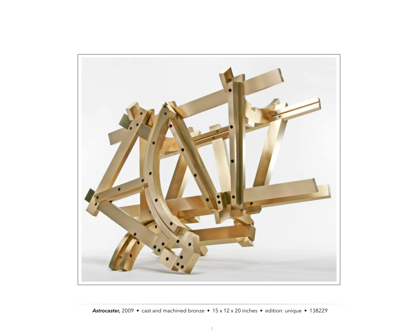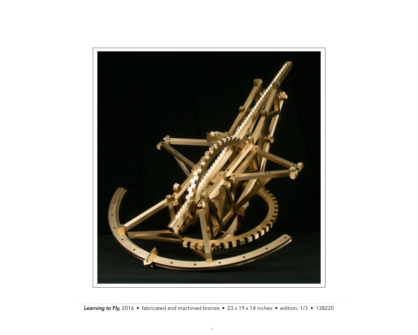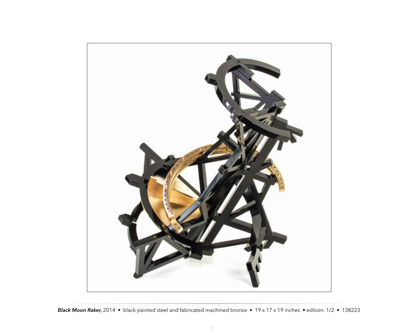

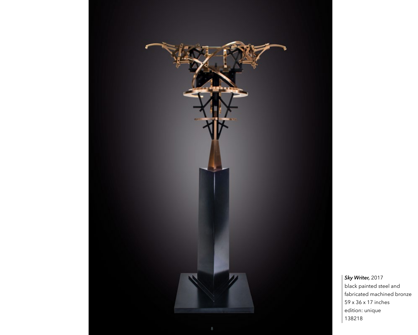

*Sky Writer,* 2017 black painted steel and fabricated machined bronze 59 x 36 x 17 inches edition: unique 138218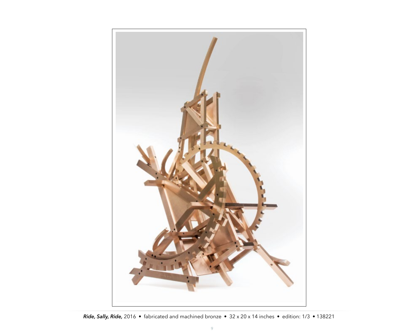

*Ride, Sally, Ride,* 2016 • fabricated and machined bronze • 32 x 20 x 14 inches • edition: 1/3 • 138221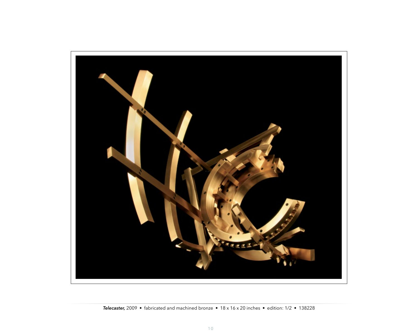

*Telecaster,* 2009 • fabricated and machined bronze • 18 x 16 x 20 inches • edition: 1/2 • 138228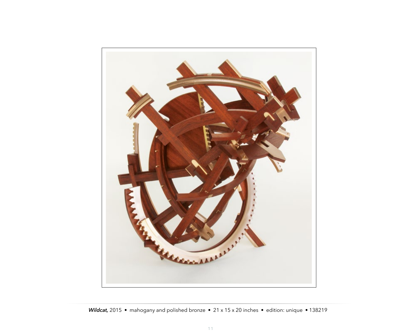

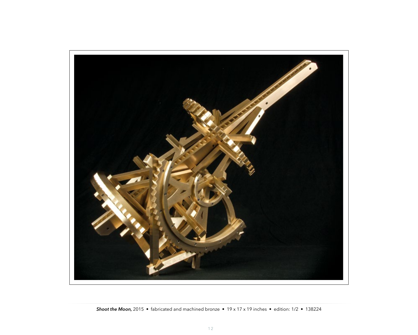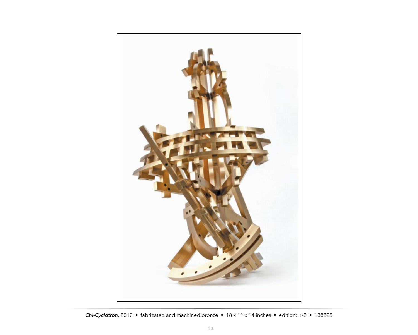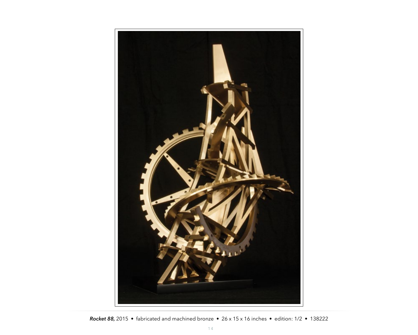

*Rocket 88,* 2015 • fabricated and machined bronze • 26 x 15 x 16 inches • edition: 1/2 • 138222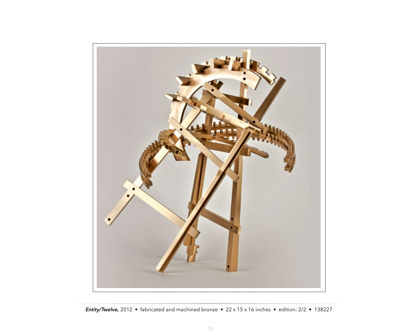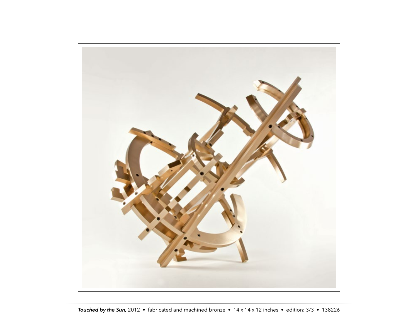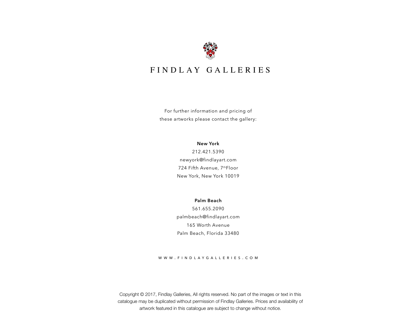

### FINDLAY GALLERIES

For further information and pricing of these artworks please contact the gallery:

**New York**

212.421.5390 newyork@findlayart.com 724 Fifth Avenue, 7thFloor New York, New York 10019

**Palm Beach** 561.655.2090 palmbeach@findlayart.com 165 Worth Avenue Palm Beach, Florida 33480

#### www.findlaygalleries.com

Copyright © 2017, Findlay Galleries, All rights reserved. No part of the images or text in this catalogue may be duplicated without permission of Findlay Galleries. Prices and availability of artwork featured in this catalogue are subject to change without notice.